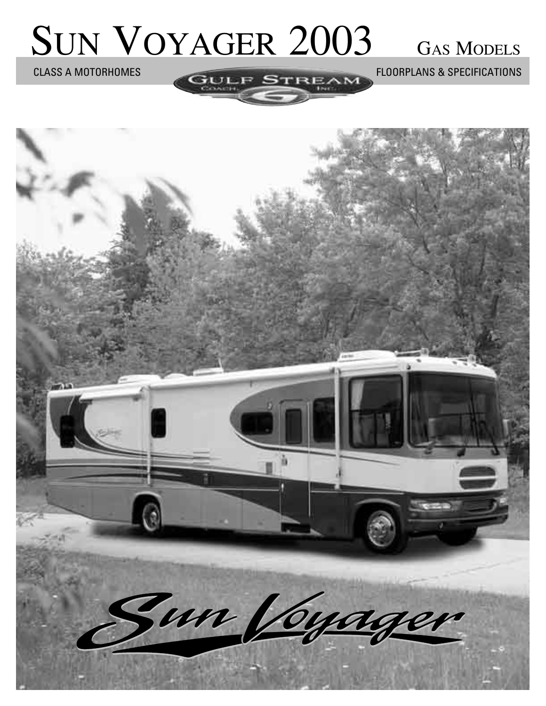# SUN VOYAGER 2003 GAS MODELS

### CLASS A MOTORHOMES FLOORPLANS & SPECIFICATIONS

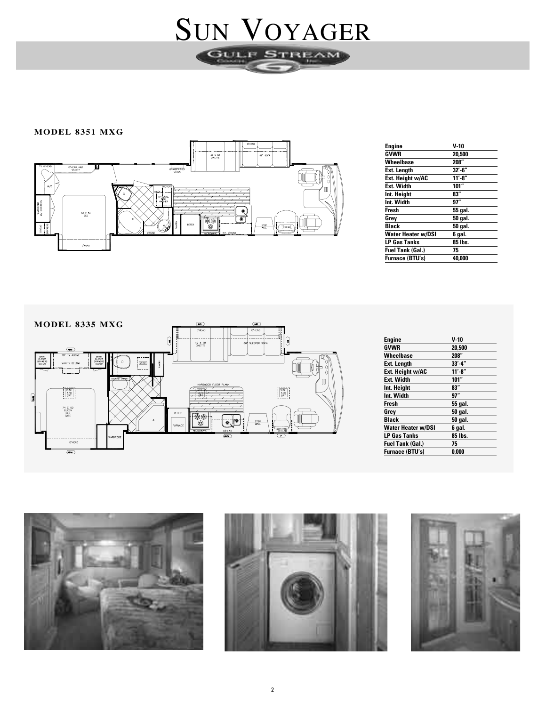$^{42}$   $\frac{\times}{10}$  60 **D'HEAD AND<br>VANITY** WARDRO<br>W/ DRAW B  $60$  x 74<br> $360$  $\frac{\overline{\mathbf{66}}}{\mathbf{6}}$  $\begin{matrix} 1 \\ 2 \\ 3 \end{matrix}$ **DHEAD O'HEAD** 

**MODEL 8351 MXG**

| <b>Engine</b>             | V-10        |
|---------------------------|-------------|
| <b>GVWR</b>               | 20,500      |
| Wheelbase                 | 208"        |
| Ext. Length               | $32' - 6''$ |
| Ext. Height w/AC          | $11' - 8"$  |
| Ext. Width                | 101"        |
| Int. Height               | 83"         |
| Int. Width                | 97"         |
| <b>Fresh</b>              | 55 gal.     |
| Grey                      | 50 gal.     |
| <b>Black</b>              | 50 gal.     |
| <b>Water Heater w/DSI</b> | 6 gal.      |
| <b>LP Gas Tanks</b>       | 85 lbs.     |
| <b>Fuel Tank (Gal.)</b>   | 75          |
| <b>Furnace (BTU's)</b>    | 40,000      |



SUN VOYAGER

**GULF STREAM** 

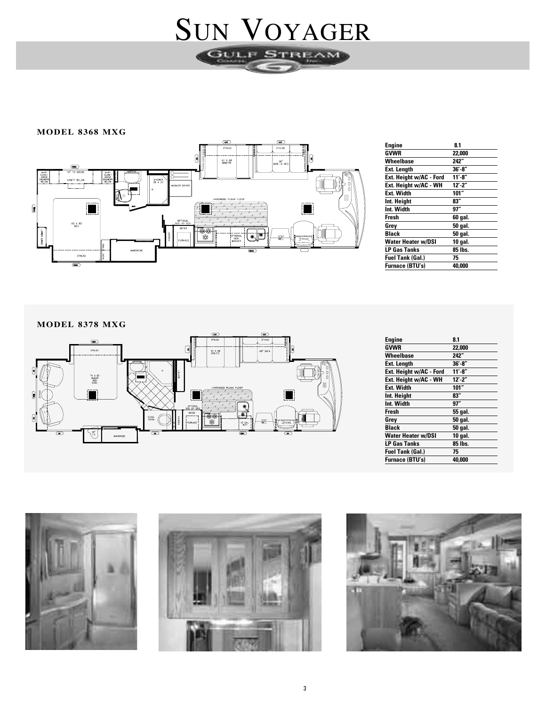**MODEL 8368 MXG**



SUN VOYAGER

**GULF STREAM** 

| Engine                    | 8.1         |
|---------------------------|-------------|
| GVWR                      | 22.000      |
| Wheelbase                 | 242"        |
| <b>Ext. Length</b>        | $36' - 8''$ |
| Ext. Height w/AC - Ford   | $11' - 8"$  |
| Ext. Height w/AC - WH     | $12' - 2''$ |
| <b>Ext. Width</b>         | 101"        |
| Int. Height               | 83"         |
| Int. Width                | 97"         |
| Fresh                     | 60 gal.     |
| Grev                      | 50 gal.     |
| <b>Black</b>              | 50 gal.     |
| <b>Water Heater w/DSI</b> | 10 gal.     |
| <b>LP Gas Tanks</b>       | 85 lbs.     |
| <b>Fuel Tank (Gal.)</b>   | 75          |
| <b>Furnace (BTU's)</b>    | 40.000      |

**MODEL 8378 MXG**



| <b>Engine</b>             | 8.1         |
|---------------------------|-------------|
| GVWR                      | 22,000      |
| Wheelbase                 | 242"        |
| Ext. Length               | $36' - 8''$ |
| Ext. Height w/AC - Ford   | $11' - 8"$  |
| Ext. Height w/AC - WH     | $12' - 2''$ |
| <b>Ext. Width</b>         | 101''       |
| Int. Height               | 83"         |
| Int. Width                | 97"         |
| <b>Fresh</b>              | 55 gal.     |
| Grey                      | 50 gal.     |
| <b>Black</b>              | 50 gal.     |
| <b>Water Heater w/DSI</b> | 10 gal.     |
| <b>LP Gas Tanks</b>       | 85 lbs.     |
| <b>Fuel Tank (Gal.)</b>   | 75          |
| <b>Furnace (BTU's)</b>    | 40,000      |
|                           |             |